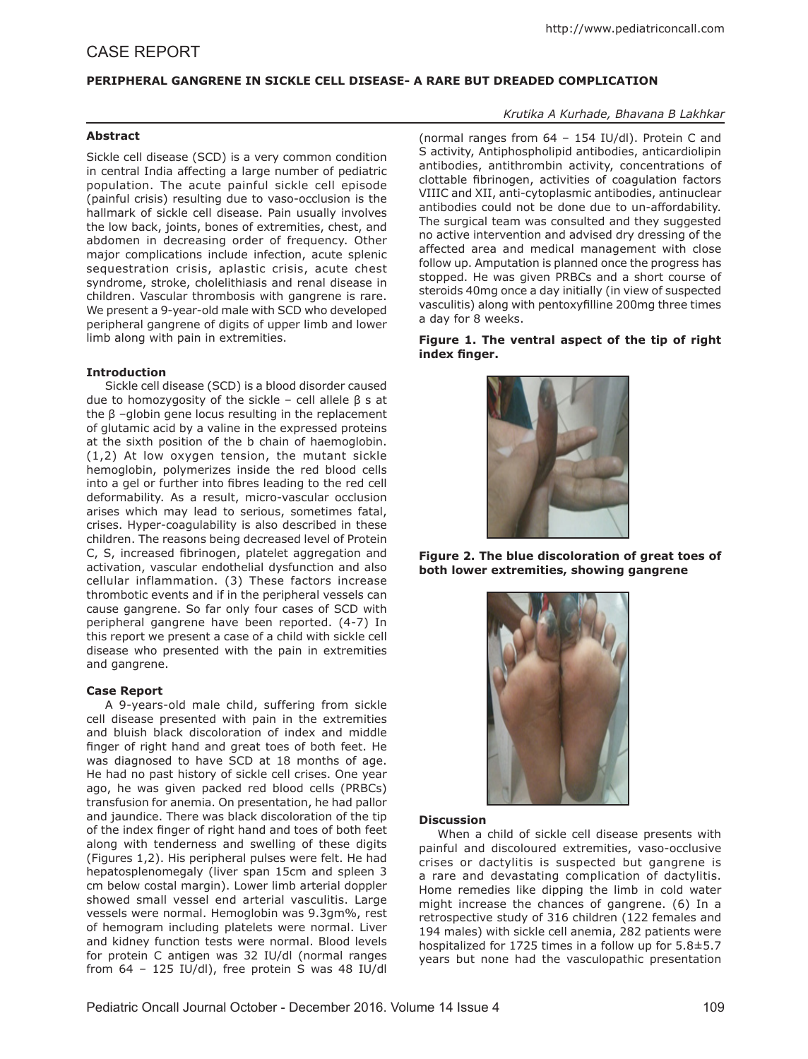# **PERIPHERAL GANGRENE IN SICKLE CELL DISEASE- A RARE BUT DREADED COMPLICATION**

## **Abstract**

Sickle cell disease (SCD) is a very common condition in central India affecting a large number of pediatric population. The acute painful sickle cell episode (painful crisis) resulting due to vaso-occlusion is the hallmark of sickle cell disease. Pain usually involves the low back, joints, bones of extremities, chest, and abdomen in decreasing order of frequency. Other major complications include infection, acute splenic sequestration crisis, aplastic crisis, acute chest syndrome, stroke, cholelithiasis and renal disease in children. Vascular thrombosis with gangrene is rare. We present a 9-year-old male with SCD who developed peripheral gangrene of digits of upper limb and lower limb along with pain in extremities.

### **Introduction**

Sickle cell disease (SCD) is a blood disorder caused due to homozygosity of the sickle – cell allele  $β$  s at the β –globin gene locus resulting in the replacement of glutamic acid by a valine in the expressed proteins at the sixth position of the b chain of haemoglobin. (1,2) At low oxygen tension, the mutant sickle hemoglobin, polymerizes inside the red blood cells into a gel or further into fibres leading to the red cell deformability. As a result, micro-vascular occlusion arises which may lead to serious, sometimes fatal, crises. Hyper-coagulability is also described in these children. The reasons being decreased level of Protein C, S, increased fibrinogen, platelet aggregation and activation, vascular endothelial dysfunction and also cellular inflammation. (3) These factors increase thrombotic events and if in the peripheral vessels can cause gangrene. So far only four cases of SCD with peripheral gangrene have been reported. (4-7) In this report we present a case of a child with sickle cell disease who presented with the pain in extremities and gangrene.

### **Case Report**

A 9-years-old male child, suffering from sickle cell disease presented with pain in the extremities and bluish black discoloration of index and middle finger of right hand and great toes of both feet. He was diagnosed to have SCD at 18 months of age. He had no past history of sickle cell crises. One year ago, he was given packed red blood cells (PRBCs) transfusion for anemia. On presentation, he had pallor and jaundice. There was black discoloration of the tip of the index finger of right hand and toes of both feet along with tenderness and swelling of these digits (Figures 1,2). His peripheral pulses were felt. He had hepatosplenomegaly (liver span 15cm and spleen 3 cm below costal margin). Lower limb arterial doppler showed small vessel end arterial vasculitis. Large vessels were normal. Hemoglobin was 9.3gm%, rest of hemogram including platelets were normal. Liver and kidney function tests were normal. Blood levels for protein C antigen was 32 IU/dl (normal ranges from 64 – 125 IU/dl), free protein S was 48 IU/dl *Krutika A Kurhade, Bhavana B Lakhkar*

(normal ranges from 64 – 154 IU/dl). Protein C and S activity, Antiphospholipid antibodies, anticardiolipin antibodies, antithrombin activity, concentrations of clottable fibrinogen, activities of coagulation factors VIIIC and XII, anti-cytoplasmic antibodies, antinuclear antibodies could not be done due to un-affordability. The surgical team was consulted and they suggested no active intervention and advised dry dressing of the affected area and medical management with close follow up. Amputation is planned once the progress has stopped. He was given PRBCs and a short course of steroids 40mg once a day initially (in view of suspected vasculitis) along with pentoxyfilline 200mg three times a day for 8 weeks.

## **Figure 1. The ventral aspect of the tip of right index finger.**



**Figure 2. The blue discoloration of great toes of both lower extremities, showing gangrene**



### **Discussion**

When a child of sickle cell disease presents with painful and discoloured extremities, vaso-occlusive crises or dactylitis is suspected but gangrene is a rare and devastating complication of dactylitis. Home remedies like dipping the limb in cold water might increase the chances of gangrene. (6) In a retrospective study of 316 children (122 females and 194 males) with sickle cell anemia, 282 patients were hospitalized for 1725 times in a follow up for 5.8±5.7 years but none had the vasculopathic presentation